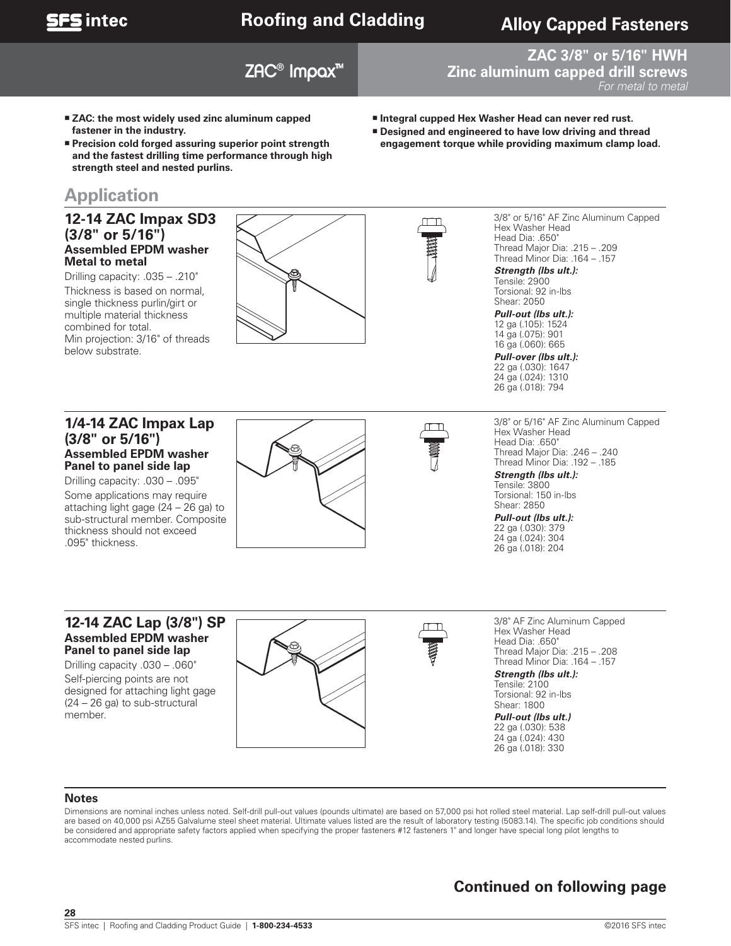

## **Roofing and Cladding**

## **Alloy Capped Fasteners**

## ZAC® Impax™

#### **ZAC 3/8" or 5/16" HWH Zinc aluminum capped drill screws** For metal to metal

- **Integral cupped Hex Washer Head can never red rust.** 
	- **Designed and engineered to have low driving and thread engagement torque while providing maximum clamp load.**
- **fastener in the industry. Precision cold forged assuring superior point strength and the fastest drilling time performance through high strength steel and nested purlins.**

 **ZAC: the most widely used zinc aluminum capped** 

## **Application**

#### **12-14 ZAC Impax SD3 (3/8" or 5/16") Assembled EPDM washer Metal to metal**

Drilling capacity: .035 – .210" Thickness is based on normal, single thickness purlin/girt or multiple material thickness combined for total. Min projection: 3/16" of threads below substrate.



Drilling capacity: .030 – .095"

Some applications may require attaching light gage (24 – 26 ga) to sub-structural member. Composite thickness should not exceed .095" thickness.



3/8" or 5/16" AF Zinc Aluminum Capped Hex Washer Head Head Dia: .650" Thread Major Dia: .215 – .209 Thread Minor Dia: .164 – .157

*Strength (lbs ult.):*  Tensile: 2900

Torsional: 92 in-lbs Shear: 2050

*Pull-out (lbs ult.):*  12 ga (.105): 1524 14 ga (.075): 901 16 ga (.060): 665

*Pull-over (lbs ult.):*  22 ga (.030): 1647 24 ga (.024): 1310 26 ga (.018): 794

3/8" or 5/16" AF Zinc Aluminum Capped Hex Washer Head Head Dia: .650" Thread Major Dia: .246 – .240 Thread Minor Dia: .192 – .185

*Strength (lbs ult.):*  Tensile: 3800 Torsional: 150 in-lbs Shear: 2850

*Pull-out (lbs ult.):*  22 ga (.030): 379 24 ga (.024): 304 26 ga (.018): 204

#### **12-14 ZAC Lap (3/8") SP Assembled EPDM washer Panel to panel side lap**

Drilling capacity .030 – .060" Self-piercing points are not designed for attaching light gage (24 – 26 ga) to sub-structural member.



3/8" AF Zinc Aluminum Capped Hex Washer Head Head Dia: 650" Thread Major Dia: .215 – .208 Thread Minor Dia: .164 – .157 *Strength (lbs ult.):* 

Tensile: 2100 Torsional: 92 in-lbs Shear: 1800

*Pull-out (lbs ult.)*  22 ga (.030): 538 24 ga (.024): 430 26 ga (.018): 330

#### **Notes**

**28**

Dimensions are nominal inches unless noted. Self-drill pull-out values (pounds ultimate) are based on 57,000 psi hot rolled steel material. Lap self-drill pull-out values are based on 40,000 psi AZ55 Galvalume steel sheet material. Ultimate values listed are the result of laboratory testing (5083.14). The specific job conditions should be considered and appropriate safety factors applied when specifying the proper fasteners #12 fasteners 1" and longer have special long pilot lengths to accommodate nested purlins.

## **Continued on following page**